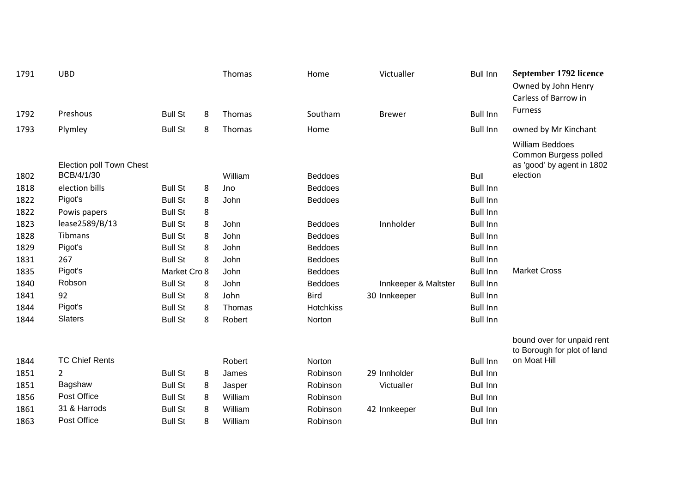| 1791 | <b>UBD</b>               |                |   | Thomas  | Home           | Victualler           | <b>Bull Inn</b> | September 1792 licence<br>Owned by John Henry<br>Carless of Barrow in         |
|------|--------------------------|----------------|---|---------|----------------|----------------------|-----------------|-------------------------------------------------------------------------------|
| 1792 | Preshous                 | <b>Bull St</b> | 8 | Thomas  | Southam        | <b>Brewer</b>        | <b>Bull Inn</b> | <b>Furness</b>                                                                |
| 1793 | Plymley                  | <b>Bull St</b> | 8 | Thomas  | Home           |                      | <b>Bull Inn</b> | owned by Mr Kinchant                                                          |
|      | Election poll Town Chest |                |   |         |                |                      |                 | <b>William Beddoes</b><br>Common Burgess polled<br>as 'good' by agent in 1802 |
| 1802 | BCB/4/1/30               |                |   | William | <b>Beddoes</b> |                      | <b>Bull</b>     | election                                                                      |
| 1818 | election bills           | <b>Bull St</b> | 8 | Jno     | <b>Beddoes</b> |                      | <b>Bull Inn</b> |                                                                               |
| 1822 | Pigot's                  | <b>Bull St</b> | 8 | John    | <b>Beddoes</b> |                      | <b>Bull Inn</b> |                                                                               |
| 1822 | Powis papers             | <b>Bull St</b> | 8 |         |                |                      | <b>Bull Inn</b> |                                                                               |
| 1823 | lease2589/B/13           | <b>Bull St</b> | 8 | John    | <b>Beddoes</b> | Innholder            | <b>Bull Inn</b> |                                                                               |
| 1828 | <b>Tibmans</b>           | <b>Bull St</b> | 8 | John    | <b>Beddoes</b> |                      | <b>Bull Inn</b> |                                                                               |
| 1829 | Pigot's                  | <b>Bull St</b> | 8 | John    | <b>Beddoes</b> |                      | <b>Bull Inn</b> |                                                                               |
| 1831 | 267                      | <b>Bull St</b> | 8 | John    | <b>Beddoes</b> |                      | <b>Bull Inn</b> |                                                                               |
| 1835 | Pigot's                  | Market Cro 8   |   | John    | <b>Beddoes</b> |                      | <b>Bull Inn</b> | <b>Market Cross</b>                                                           |
| 1840 | Robson                   | <b>Bull St</b> | 8 | John    | <b>Beddoes</b> | Innkeeper & Maltster | <b>Bull Inn</b> |                                                                               |
| 1841 | 92                       | <b>Bull St</b> | 8 | John    | <b>Bird</b>    | 30 Innkeeper         | <b>Bull Inn</b> |                                                                               |
| 1844 | Pigot's                  | <b>Bull St</b> | 8 | Thomas  | Hotchkiss      |                      | <b>Bull Inn</b> |                                                                               |
| 1844 | <b>Slaters</b>           | <b>Bull St</b> | 8 | Robert  | Norton         |                      | <b>Bull Inn</b> |                                                                               |
|      |                          |                |   |         |                |                      |                 | bound over for unpaid rent<br>to Borough for plot of land                     |
| 1844 | <b>TC Chief Rents</b>    |                |   | Robert  | Norton         |                      | <b>Bull Inn</b> | on Moat Hill                                                                  |
| 1851 | $\overline{2}$           | <b>Bull St</b> | 8 | James   | Robinson       | 29 Innholder         | <b>Bull Inn</b> |                                                                               |
| 1851 | Bagshaw                  | <b>Bull St</b> | 8 | Jasper  | Robinson       | Victualler           | <b>Bull Inn</b> |                                                                               |
| 1856 | Post Office              | <b>Bull St</b> | 8 | William | Robinson       |                      | <b>Bull Inn</b> |                                                                               |
| 1861 | 31 & Harrods             | <b>Bull St</b> | 8 | William | Robinson       | 42 Innkeeper         | <b>Bull Inn</b> |                                                                               |
| 1863 | Post Office              | <b>Bull St</b> | 8 | William | Robinson       |                      | <b>Bull Inn</b> |                                                                               |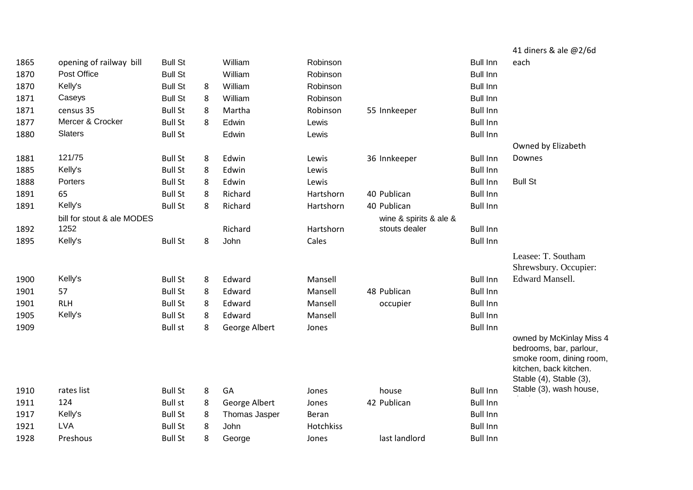|      |                            |                |   |               |           |                        |                 | 41 diners & ale @2/6d                              |
|------|----------------------------|----------------|---|---------------|-----------|------------------------|-----------------|----------------------------------------------------|
| 1865 | opening of railway bill    | <b>Bull St</b> |   | William       | Robinson  |                        | <b>Bull Inn</b> | each                                               |
| 1870 | Post Office                | <b>Bull St</b> |   | William       | Robinson  |                        | <b>Bull Inn</b> |                                                    |
| 1870 | Kelly's                    | <b>Bull St</b> | 8 | William       | Robinson  |                        | <b>Bull Inn</b> |                                                    |
| 1871 | Caseys                     | <b>Bull St</b> | 8 | William       | Robinson  |                        | <b>Bull Inn</b> |                                                    |
| 1871 | census 35                  | <b>Bull St</b> | 8 | Martha        | Robinson  | 55 Innkeeper           | <b>Bull Inn</b> |                                                    |
| 1877 | Mercer & Crocker           | <b>Bull St</b> | 8 | Edwin         | Lewis     |                        | <b>Bull Inn</b> |                                                    |
| 1880 | Slaters                    | <b>Bull St</b> |   | Edwin         | Lewis     |                        | <b>Bull Inn</b> |                                                    |
|      |                            |                |   |               |           |                        |                 | Owned by Elizabeth                                 |
| 1881 | 121/75                     | <b>Bull St</b> | 8 | Edwin         | Lewis     | 36 Innkeeper           | <b>Bull Inn</b> | Downes                                             |
| 1885 | Kelly's                    | <b>Bull St</b> | 8 | Edwin         | Lewis     |                        | <b>Bull Inn</b> |                                                    |
| 1888 | Porters                    | <b>Bull St</b> | 8 | Edwin         | Lewis     |                        | <b>Bull Inn</b> | <b>Bull St</b>                                     |
| 1891 | 65                         | <b>Bull St</b> | 8 | Richard       | Hartshorn | 40 Publican            | <b>Bull Inn</b> |                                                    |
| 1891 | Kelly's                    | <b>Bull St</b> | 8 | Richard       | Hartshorn | 40 Publican            | <b>Bull Inn</b> |                                                    |
|      | bill for stout & ale MODES |                |   |               |           | wine & spirits & ale & |                 |                                                    |
| 1892 | 1252                       |                |   | Richard       | Hartshorn | stouts dealer          | <b>Bull Inn</b> |                                                    |
| 1895 | Kelly's                    | <b>Bull St</b> | 8 | John          | Cales     |                        | <b>Bull Inn</b> |                                                    |
|      |                            |                |   |               |           |                        |                 | Leasee: T. Southam                                 |
|      |                            |                |   |               |           |                        |                 | Shrewsbury. Occupier:                              |
| 1900 | Kelly's                    | <b>Bull St</b> | 8 | Edward        | Mansell   |                        | <b>Bull Inn</b> | <b>Edward Mansell.</b>                             |
| 1901 | 57                         | <b>Bull St</b> | 8 | Edward        | Mansell   | 48 Publican            | <b>Bull Inn</b> |                                                    |
| 1901 | <b>RLH</b>                 | <b>Bull St</b> | 8 | Edward        | Mansell   | occupier               | <b>Bull Inn</b> |                                                    |
| 1905 | Kelly's                    | <b>Bull St</b> | 8 | Edward        | Mansell   |                        | <b>Bull Inn</b> |                                                    |
| 1909 |                            | <b>Bull st</b> | 8 | George Albert | Jones     |                        | <b>Bull Inn</b> |                                                    |
|      |                            |                |   |               |           |                        |                 | owned by McKinlay Miss 4                           |
|      |                            |                |   |               |           |                        |                 | bedrooms, bar, parlour,                            |
|      |                            |                |   |               |           |                        |                 | smoke room, dining room,<br>kitchen, back kitchen. |
|      |                            |                |   |               |           |                        |                 | Stable (4), Stable (3),                            |
| 1910 | rates list                 | <b>Bull St</b> | 8 | GA            | Jones     | house                  | <b>Bull Inn</b> | Stable (3), wash house,                            |
| 1911 | 124                        | <b>Bull st</b> | 8 | George Albert | Jones     | 42 Publican            | <b>Bull Inn</b> |                                                    |
| 1917 | Kelly's                    | <b>Bull St</b> | 8 | Thomas Jasper | Beran     |                        | <b>Bull Inn</b> |                                                    |
| 1921 | <b>LVA</b>                 | <b>Bull St</b> | 8 | John          | Hotchkiss |                        | <b>Bull Inn</b> |                                                    |
| 1928 | Preshous                   | <b>Bull St</b> | 8 | George        | Jones     | last landlord          | <b>Bull Inn</b> |                                                    |
|      |                            |                |   |               |           |                        |                 |                                                    |